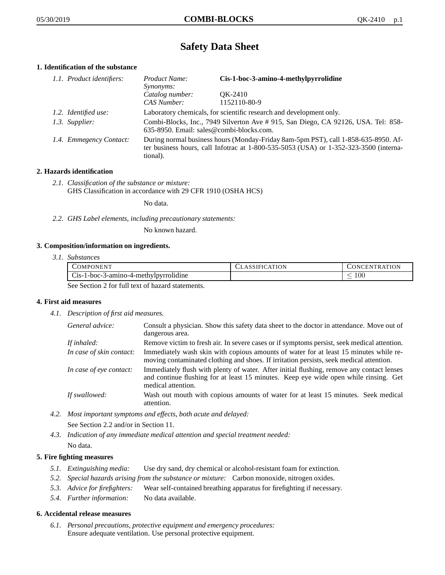# **Safety Data Sheet**

## **1. Identification of the substance**

| 1.1. Product identifiers: | <i>Product Name:</i><br><i>Synonyms:</i>                                                                                                                                                    | Cis-1-boc-3-amino-4-methylpyrrolidine |
|---------------------------|---------------------------------------------------------------------------------------------------------------------------------------------------------------------------------------------|---------------------------------------|
|                           | Catalog number:<br>CAS Number:                                                                                                                                                              | OK-2410<br>1152110-80-9               |
| 1.2. Identified use:      | Laboratory chemicals, for scientific research and development only.                                                                                                                         |                                       |
| 1.3. Supplier:            | Combi-Blocks, Inc., 7949 Silverton Ave # 915, San Diego, CA 92126, USA. Tel: 858-<br>635-8950. Email: sales@combi-blocks.com.                                                               |                                       |
| 1.4. Emmegency Contact:   | During normal business hours (Monday-Friday 8am-5pm PST), call 1-858-635-8950. Af-<br>ter business hours, call Infotrac at $1-800-535-5053$ (USA) or $1-352-323-3500$ (interna-<br>tional). |                                       |

## **2. Hazards identification**

*2.1. Classification of the substance or mixture:* GHS Classification in accordance with 29 CFR 1910 (OSHA HCS)

No data.

*2.2. GHS Label elements, including precautionary statements:*

No known hazard.

### **3. Composition/information on ingredients.**

*3.1. Substances*

| COMPONENT                                        | LASSIFICATION | <b>CONCENTRATION</b> |
|--------------------------------------------------|---------------|----------------------|
| $Cis-1-boc-3-amino-4-methylpyrrolidine$          |               | 00،                  |
| See Section 2 for full tout of here at estaments |               |                      |

See Section 2 for full text of hazard statements.

## **4. First aid measures**

*4.1. Description of first aid measures.*

| General advice:          | Consult a physician. Show this safety data sheet to the doctor in attendance. Move out of<br>dangerous area.                                                                                            |
|--------------------------|---------------------------------------------------------------------------------------------------------------------------------------------------------------------------------------------------------|
| If inhaled:              | Remove victim to fresh air. In severe cases or if symptoms persist, seek medical attention.                                                                                                             |
| In case of skin contact: | Immediately wash skin with copious amounts of water for at least 15 minutes while re-<br>moving contaminated clothing and shoes. If irritation persists, seek medical attention.                        |
| In case of eye contact:  | Immediately flush with plenty of water. After initial flushing, remove any contact lenses<br>and continue flushing for at least 15 minutes. Keep eye wide open while rinsing. Get<br>medical attention. |
| If swallowed:            | Wash out mouth with copious amounts of water for at least 15 minutes. Seek medical<br>attention.                                                                                                        |

*4.2. Most important symptoms and effects, both acute and delayed:*

See Section 2.2 and/or in Section 11.

*4.3. Indication of any immediate medical attention and special treatment needed:* No data.

## **5. Fire fighting measures**

- *5.1. Extinguishing media:* Use dry sand, dry chemical or alcohol-resistant foam for extinction.
- *5.2. Special hazards arising from the substance or mixture:* Carbon monoxide, nitrogen oxides.
- *5.3. Advice for firefighters:* Wear self-contained breathing apparatus for firefighting if necessary.
- *5.4. Further information:* No data available.

### **6. Accidental release measures**

*6.1. Personal precautions, protective equipment and emergency procedures:* Ensure adequate ventilation. Use personal protective equipment.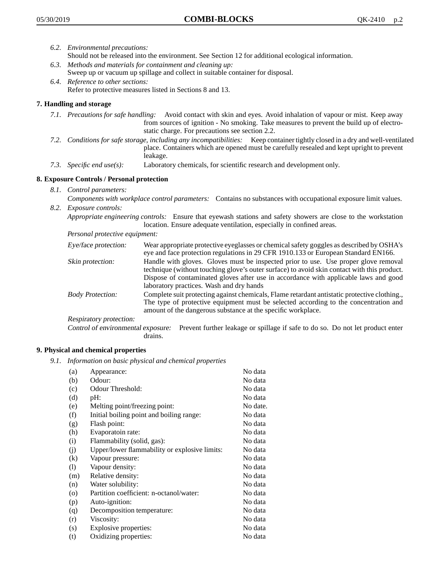- *6.2. Environmental precautions:* Should not be released into the environment. See Section 12 for additional ecological information.
- *6.3. Methods and materials for containment and cleaning up:* Sweep up or vacuum up spillage and collect in suitable container for disposal.
- *6.4. Reference to other sections:* Refer to protective measures listed in Sections 8 and 13.

## **7. Handling and storage**

- *7.1. Precautions for safe handling:* Avoid contact with skin and eyes. Avoid inhalation of vapour or mist. Keep away from sources of ignition - No smoking. Take measures to prevent the build up of electrostatic charge. For precautions see section 2.2.
- *7.2. Conditions for safe storage, including any incompatibilities:* Keep container tightly closed in a dry and well-ventilated place. Containers which are opened must be carefully resealed and kept upright to prevent leakage.
- *7.3. Specific end use(s):* Laboratory chemicals, for scientific research and development only.

## **8. Exposure Controls / Personal protection**

- *8.1. Control parameters:*
- *Components with workplace control parameters:* Contains no substances with occupational exposure limit values. *8.2. Exposure controls:*

*Appropriate engineering controls:* Ensure that eyewash stations and safety showers are close to the workstation location. Ensure adequate ventilation, especially in confined areas.

*Personal protective equipment:*

| Eye/face protection:    | Wear appropriate protective eyeglasses or chemical safety goggles as described by OSHA's<br>eye and face protection regulations in 29 CFR 1910.133 or European Standard EN166.                                                                                                                                         |
|-------------------------|------------------------------------------------------------------------------------------------------------------------------------------------------------------------------------------------------------------------------------------------------------------------------------------------------------------------|
| Skin protection:        | Handle with gloves. Gloves must be inspected prior to use. Use proper glove removal<br>technique (without touching glove's outer surface) to avoid skin contact with this product.<br>Dispose of contaminated gloves after use in accordance with applicable laws and good<br>laboratory practices. Wash and dry hands |
| <b>Body Protection:</b> | Complete suit protecting against chemicals, Flame retardant antistatic protective clothing.,<br>The type of protective equipment must be selected according to the concentration and<br>amount of the dangerous substance at the specific workplace.                                                                   |
| Respiratory protection: |                                                                                                                                                                                                                                                                                                                        |

Control of environmental exposure: Prevent further leakage or spillage if safe to do so. Do not let product enter drains.

### **9. Physical and chemical properties**

*9.1. Information on basic physical and chemical properties*

| (a)               | Appearance:                                   | No data  |
|-------------------|-----------------------------------------------|----------|
| (b)               | Odour:                                        | No data  |
| (c)               | Odour Threshold:                              | No data  |
| (d)               | pH:                                           | No data  |
| (e)               | Melting point/freezing point:                 | No date. |
| (f)               | Initial boiling point and boiling range:      | No data  |
| (g)               | Flash point:                                  | No data  |
| (h)               | Evaporatoin rate:                             | No data  |
| (i)               | Flammability (solid, gas):                    | No data  |
| (j)               | Upper/lower flammability or explosive limits: | No data  |
| $\left( k\right)$ | Vapour pressure:                              | No data  |
| (1)               | Vapour density:                               | No data  |
| (m)               | Relative density:                             | No data  |
| (n)               | Water solubility:                             | No data  |
| $\circ$           | Partition coefficient: n-octanol/water:       | No data  |
| (p)               | Auto-ignition:                                | No data  |
| (q)               | Decomposition temperature:                    | No data  |
| (r)               | Viscosity:                                    | No data  |
| (s)               | Explosive properties:                         | No data  |
| (t)               | Oxidizing properties:                         | No data  |